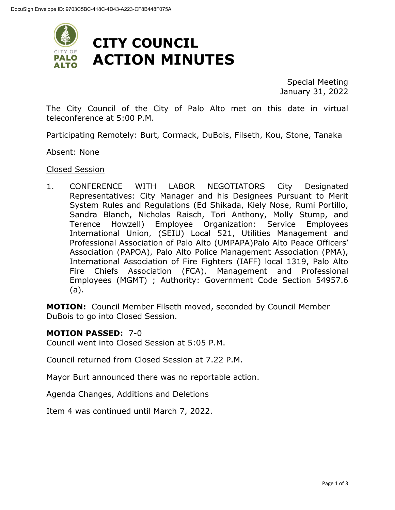

Special Meeting January 31, 2022

The City Council of the City of Palo Alto met on this date in virtual teleconference at 5:00 P.M.

Participating Remotely: Burt, Cormack, DuBois, Filseth, Kou, Stone, Tanaka

Absent: None

#### Closed Session

1. CONFERENCE WITH LABOR NEGOTIATORS City Designated Representatives: City Manager and his Designees Pursuant to Merit System Rules and Regulations (Ed Shikada, Kiely Nose, Rumi Portillo, Sandra Blanch, Nicholas Raisch, Tori Anthony, Molly Stump, and Terence Howzell) Employee Organization: Service Employees International Union, (SEIU) Local 521, Utilities Management and Professional Association of Palo Alto (UMPAPA)Palo Alto Peace Officers' Association (PAPOA), Palo Alto Police Management Association (PMA), International Association of Fire Fighters (IAFF) local 1319, Palo Alto Fire Chiefs Association (FCA), Management and Professional Employees (MGMT) ; Authority: Government Code Section 54957.6 (a).

**MOTION:** Council Member Filseth moved, seconded by Council Member DuBois to go into Closed Session.

#### **MOTION PASSED:** 7-0

Council went into Closed Session at 5:05 P.M.

Council returned from Closed Session at 7.22 P.M.

Mayor Burt announced there was no reportable action.

Agenda Changes, Additions and Deletions

Item 4 was continued until March 7, 2022.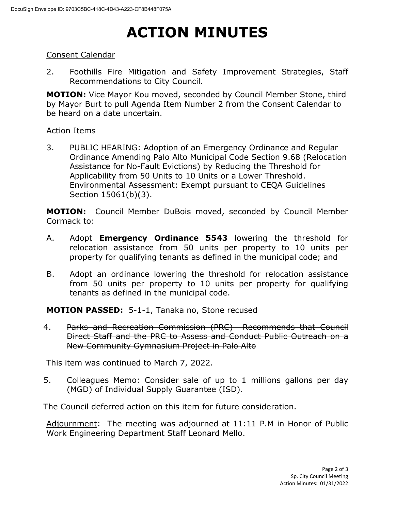## **ACTION MINUTES**

### Consent Calendar

2. Foothills Fire Mitigation and Safety Improvement Strategies, Staff Recommendations to City Council.

**MOTION:** Vice Mayor Kou moved, seconded by Council Member Stone, third by Mayor Burt to pull Agenda Item Number 2 from the Consent Calendar to be heard on a date uncertain.

#### Action Items

3. PUBLIC HEARING: Adoption of an Emergency Ordinance and Regular Ordinance Amending Palo Alto Municipal Code Section 9.68 (Relocation Assistance for No-Fault Evictions) by Reducing the Threshold for Applicability from 50 Units to 10 Units or a Lower Threshold. Environmental Assessment: Exempt pursuant to CEQA Guidelines Section 15061(b)(3).

**MOTION:** Council Member DuBois moved, seconded by Council Member Cormack to:

- A. Adopt **Emergency Ordinance 5543** lowering the threshold for relocation assistance from 50 units per property to 10 units per property for qualifying tenants as defined in the municipal code; and
- B. Adopt an ordinance lowering the threshold for relocation assistance from 50 units per property to 10 units per property for qualifying tenants as defined in the municipal code.

**MOTION PASSED:** 5-1-1, Tanaka no, Stone recused

4. Parks and Recreation Commission (PRC) Recommends that Council Direct Staff and the PRC to Assess and Conduct Public Outreach on a New Community Gymnasium Project in Palo Alto

This item was continued to March 7, 2022.

5. Colleagues Memo: Consider sale of up to 1 millions gallons per day (MGD) of Individual Supply Guarantee (ISD).

The Council deferred action on this item for future consideration.

Adjournment: The meeting was adjourned at 11:11 P.M in Honor of Public Work Engineering Department Staff Leonard Mello.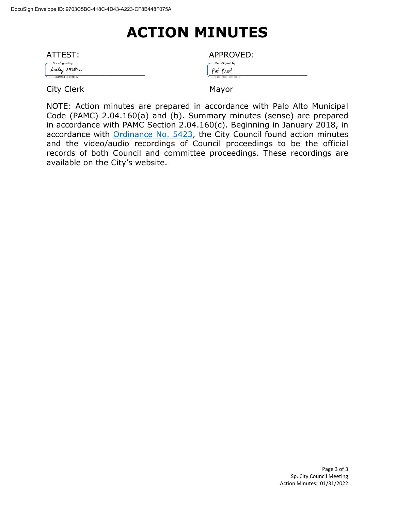### **ACTION MINUTES**

| ATTEST:           | APPROVED:        |
|-------------------|------------------|
| -DocuSigned by:   | -DocuSigned by:  |
| Lesley Milton     | Pat Burt         |
| - E56491CF3DB34FA | -ED9E9CFB89E64FF |

City Clerk Mayor

NOTE: Action minutes are prepared in accordance with Palo Alto Municipal Code (PAMC) 2.04.160(a) and (b). Summary minutes (sense) are prepared in accordance with PAMC Section 2.04.160(c). Beginning in January 2018, in accordance with [Ordinance No. 5423,](https://www.cityofpaloalto.org/files/assets/public/city-clerk/ordinances/ordinances-1909-to-present/ordinances-by-number/ord-5423.pdf) the City Council found action minutes and the video/audio recordings of Council proceedings to be the official records of both Council and committee proceedings. These recordings are available on the City's website.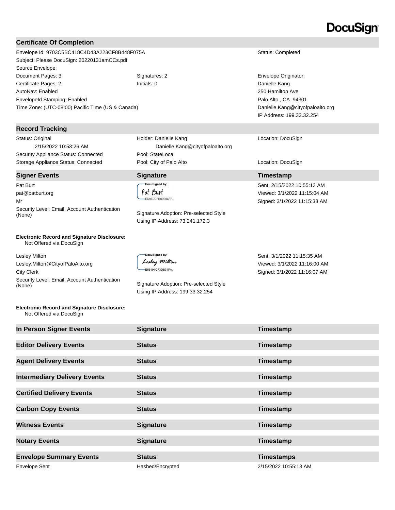### DocuSign

#### **Certificate Of Completion**

Envelope Id: 9703C5BC418C4D43A223CF8B448F075A Status: Completed Subject: Please DocuSign: 20220131amCCs.pdf Source Envelope: Document Pages: 3 Signatures: 2 Signatures: 2 Envelope Originator: Certificate Pages: 2 **Initials: 0** Initials: 0 **Danielle Kang** AutoNav: Enabled EnvelopeId Stamping: Enabled Time Zone: (UTC-08:00) Pacific Time (US & Canada)

#### **Record Tracking**

Status: Original 2/15/2022 10:53:26 AM Security Appliance Status: Connected Pool: StateLocal

#### **Signer Events Signature CONSISTENT <b>Signature Timestamp**

Pat Burt pat@patburt.org Mr Security Level: Email, Account Authentication (None) Signature Adoption: Pre-selected Style

#### **Electronic Record and Signature Disclosure:**  Not Offered via DocuSign

Lesley Milton Lesley.Milton@CityofPaloAlto.org City Clerk Security Level: Email, Account Authentication<br>(None)

DocuSigned by Lesley Milton -<br>E56491CF3DB34FA...

Signature Adoption: Pre-selected Style Using IP Address: 199.33.32.254

250 Hamilton Ave Palo Alto , CA 94301 Danielle.Kang@cityofpaloalto.org IP Address: 199.33.32.254

#### Location: DocuSign

Sent: 2/15/2022 10:55:13 AM Viewed: 3/1/2022 11:15:04 AM Signed: 3/1/2022 11:15:33 AM

Sent: 3/1/2022 11:15:35 AM Viewed: 3/1/2022 11:16:00 AM Signed: 3/1/2022 11:16:07 AM

#### **Electronic Record and Signature Disclosure:**  Not Offered via DocuSign

| In Person Signer Events             | <b>Signature</b> | Timestamp             |
|-------------------------------------|------------------|-----------------------|
| <b>Editor Delivery Events</b>       | <b>Status</b>    | Timestamp             |
| <b>Agent Delivery Events</b>        | <b>Status</b>    | Timestamp             |
| <b>Intermediary Delivery Events</b> | <b>Status</b>    | Timestamp             |
| <b>Certified Delivery Events</b>    | <b>Status</b>    | Timestamp             |
| <b>Carbon Copy Events</b>           | <b>Status</b>    | Timestamp             |
| <b>Witness Events</b>               | <b>Signature</b> | Timestamp             |
| <b>Notary Events</b>                | <b>Signature</b> | Timestamp             |
| <b>Envelope Summary Events</b>      | <b>Status</b>    | <b>Timestamps</b>     |
| <b>Envelope Sent</b>                | Hashed/Encrypted | 2/15/2022 10:55:13 AM |

Holder: Danielle Kang Danielle.Kang@cityofpaloalto.org Storage Appliance Status: Connected **Pool: City of Palo Alto** Location: DocuSign Location: DocuSign

# DocuSigned by:

Pat Burt ED9E9CFB89E64FF...

Using IP Address: 73.241.172.3